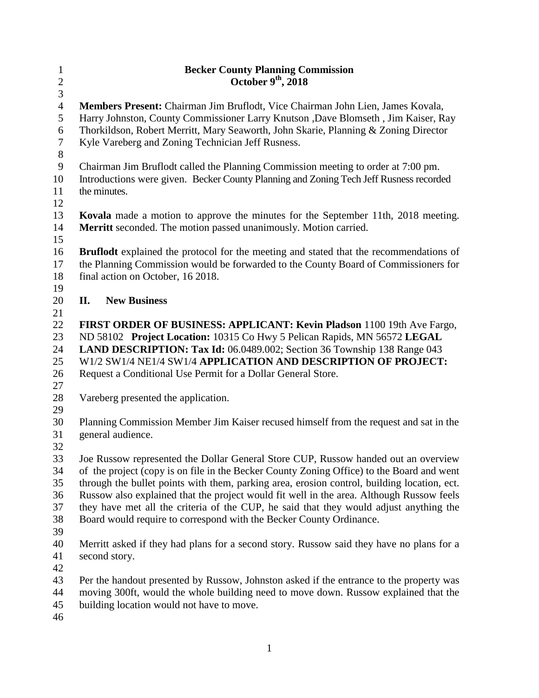| $\mathbf{1}$    | <b>Becker County Planning Commission</b>                                                                                                                                  |
|-----------------|---------------------------------------------------------------------------------------------------------------------------------------------------------------------------|
| $\sqrt{2}$<br>3 | October $9th$ , 2018                                                                                                                                                      |
| $\overline{4}$  | Members Present: Chairman Jim Bruflodt, Vice Chairman John Lien, James Kovala,                                                                                            |
| 5<br>6          | Harry Johnston, County Commissioner Larry Knutson , Dave Blomseth, Jim Kaiser, Ray<br>Thorkildson, Robert Merritt, Mary Seaworth, John Skarie, Planning & Zoning Director |
| $\tau$<br>$8\,$ | Kyle Vareberg and Zoning Technician Jeff Rusness.                                                                                                                         |
| $\overline{9}$  | Chairman Jim Bruflodt called the Planning Commission meeting to order at 7:00 pm.                                                                                         |
| 10<br>11<br>12  | Introductions were given. Becker County Planning and Zoning Tech Jeff Rusness recorded<br>the minutes.                                                                    |
| 13              | <b>Kovala</b> made a motion to approve the minutes for the September 11th, 2018 meeting.                                                                                  |
| 14<br>15        | Merritt seconded. The motion passed unanimously. Motion carried.                                                                                                          |
| 16              | <b>Bruflodt</b> explained the protocol for the meeting and stated that the recommendations of                                                                             |
| 17              | the Planning Commission would be forwarded to the County Board of Commissioners for                                                                                       |
| 18<br>19        | final action on October, 16 2018.                                                                                                                                         |
| 20              | <b>New Business</b><br>II.                                                                                                                                                |
| 21              |                                                                                                                                                                           |
| 22              | FIRST ORDER OF BUSINESS: APPLICANT: Kevin Pladson 1100 19th Ave Fargo,                                                                                                    |
| 23              | ND 58102 Project Location: 10315 Co Hwy 5 Pelican Rapids, MN 56572 LEGAL                                                                                                  |
| 24              | LAND DESCRIPTION: Tax Id: 06.0489.002; Section 36 Township 138 Range 043                                                                                                  |
| 25              | W1/2 SW1/4 NE1/4 SW1/4 APPLICATION AND DESCRIPTION OF PROJECT:                                                                                                            |
| 26              | Request a Conditional Use Permit for a Dollar General Store.                                                                                                              |
| 27              |                                                                                                                                                                           |
| 28<br>29        | Vareberg presented the application.                                                                                                                                       |
| 30              | Planning Commission Member Jim Kaiser recused himself from the request and sat in the                                                                                     |
| 31<br>32        | general audience.                                                                                                                                                         |
| 33              | Joe Russow represented the Dollar General Store CUP, Russow handed out an overview                                                                                        |
| 34              | of the project (copy is on file in the Becker County Zoning Office) to the Board and went                                                                                 |
| 35              | through the bullet points with them, parking area, erosion control, building location, ect.                                                                               |
| 36              | Russow also explained that the project would fit well in the area. Although Russow feels                                                                                  |
| 37              | they have met all the criteria of the CUP, he said that they would adjust anything the                                                                                    |
| 38<br>39        | Board would require to correspond with the Becker County Ordinance.                                                                                                       |
| 40              | Merritt asked if they had plans for a second story. Russow said they have no plans for a                                                                                  |
| 41              | second story.                                                                                                                                                             |
| 42              |                                                                                                                                                                           |
| 43              | Per the handout presented by Russow, Johnston asked if the entrance to the property was                                                                                   |
| 44              | moving 300ft, would the whole building need to move down. Russow explained that the                                                                                       |
| 45              | building location would not have to move.                                                                                                                                 |
| 46              |                                                                                                                                                                           |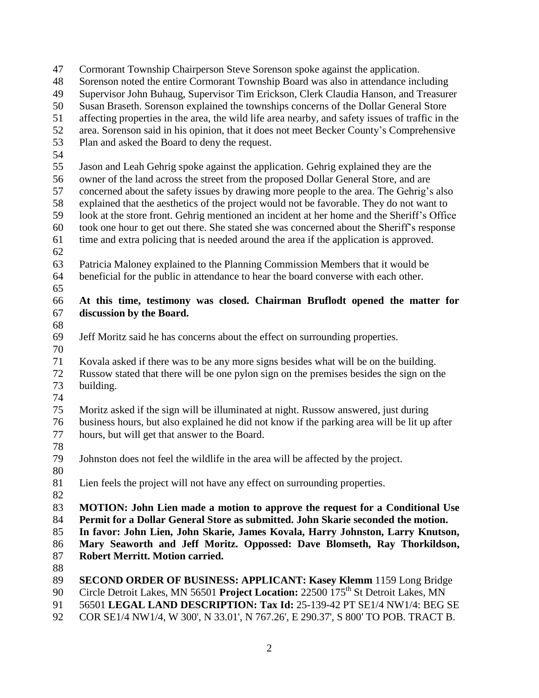Cormorant Township Chairperson Steve Sorenson spoke against the application.

Sorenson noted the entire Cormorant Township Board was also in attendance including

Supervisor John Buhaug, Supervisor Tim Erickson, Clerk Claudia Hanson, and Treasurer

Susan Braseth. Sorenson explained the townships concerns of the Dollar General Store

affecting properties in the area, the wild life area nearby, and safety issues of traffic in the

area. Sorenson said in his opinion, that it does not meet Becker County's Comprehensive

Plan and asked the Board to deny the request.

 Jason and Leah Gehrig spoke against the application. Gehrig explained they are the owner of the land across the street from the proposed Dollar General Store, and are

 concerned about the safety issues by drawing more people to the area. The Gehrig's also explained that the aesthetics of the project would not be favorable. They do not want to

look at the store front. Gehrig mentioned an incident at her home and the Sheriff's Office

took one hour to get out there. She stated she was concerned about the Sheriff's response

time and extra policing that is needed around the area if the application is approved.

 Patricia Maloney explained to the Planning Commission Members that it would be beneficial for the public in attendance to hear the board converse with each other.

## **At this time, testimony was closed. Chairman Bruflodt opened the matter for discussion by the Board.**

Jeff Moritz said he has concerns about the effect on surrounding properties.

 Kovala asked if there was to be any more signs besides what will be on the building. Russow stated that there will be one pylon sign on the premises besides the sign on the building.

 Moritz asked if the sign will be illuminated at night. Russow answered, just during business hours, but also explained he did not know if the parking area will be lit up after hours, but will get that answer to the Board.

Johnston does not feel the wildlife in the area will be affected by the project.

Lien feels the project will not have any effect on surrounding properties.

 **MOTION: John Lien made a motion to approve the request for a Conditional Use Permit for a Dollar General Store as submitted. John Skarie seconded the motion.**

**In favor: John Lien, John Skarie, James Kovala, Harry Johnston, Larry Knutson,** 

**Mary Seaworth and Jeff Moritz. Oppossed: Dave Blomseth, Ray Thorkildson,** 

- **Robert Merritt. Motion carried.**
- 

**SECOND ORDER OF BUSINESS: APPLICANT: Kasey Klemm** 1159 Long Bridge

90 Circle Detroit Lakes, MN 56501 **Project Location:** 22500 175<sup>th</sup> St Detroit Lakes, MN

56501 **LEGAL LAND DESCRIPTION: Tax Id:** 25-139-42 PT SE1/4 NW1/4: BEG SE

COR SE1/4 NW1/4, W 300', N 33.01', N 767.26', E 290.37', S 800' TO POB. TRACT B.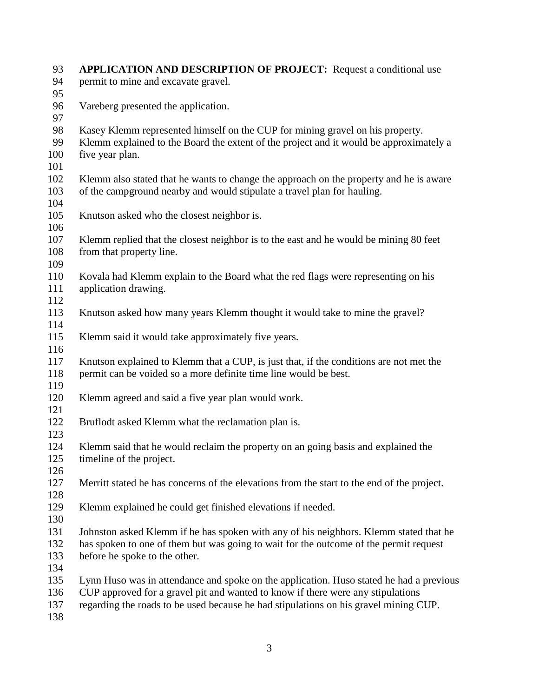| 93         | <b>APPLICATION AND DESCRIPTION OF PROJECT:</b> Request a conditional use                   |  |
|------------|--------------------------------------------------------------------------------------------|--|
| 94         | permit to mine and excavate gravel.                                                        |  |
| 95         |                                                                                            |  |
| 96         | Vareberg presented the application.                                                        |  |
| 97         |                                                                                            |  |
| 98         | Kasey Klemm represented himself on the CUP for mining gravel on his property.              |  |
| 99         | Klemm explained to the Board the extent of the project and it would be approximately a     |  |
| 100        | five year plan.                                                                            |  |
| 101        |                                                                                            |  |
| 102        | Klemm also stated that he wants to change the approach on the property and he is aware     |  |
| 103        | of the campground nearby and would stipulate a travel plan for hauling.                    |  |
| 104        |                                                                                            |  |
| 105        | Knutson asked who the closest neighbor is.                                                 |  |
| 106        |                                                                                            |  |
| 107        | Klemm replied that the closest neighbor is to the east and he would be mining 80 feet      |  |
| 108        | from that property line.                                                                   |  |
| 109        |                                                                                            |  |
| 110        | Kovala had Klemm explain to the Board what the red flags were representing on his          |  |
| 111        | application drawing.                                                                       |  |
| 112        |                                                                                            |  |
| 113        | Knutson asked how many years Klemm thought it would take to mine the gravel?               |  |
| 114        |                                                                                            |  |
| 115        | Klemm said it would take approximately five years.                                         |  |
| 116        |                                                                                            |  |
| 117        | Knutson explained to Klemm that a CUP, is just that, if the conditions are not met the     |  |
| 118        | permit can be voided so a more definite time line would be best.                           |  |
| 119        |                                                                                            |  |
| 120        | Klemm agreed and said a five year plan would work.                                         |  |
| 121        |                                                                                            |  |
| 122        | Bruflodt asked Klemm what the reclamation plan is.                                         |  |
| 123        |                                                                                            |  |
| 124        | Klemm said that he would reclaim the property on an going basis and explained the          |  |
| 125        | timeline of the project.                                                                   |  |
| 126<br>127 |                                                                                            |  |
| 128        | Merritt stated he has concerns of the elevations from the start to the end of the project. |  |
| 129        |                                                                                            |  |
| 130        | Klemm explained he could get finished elevations if needed.                                |  |
| 131        | Johnston asked Klemm if he has spoken with any of his neighbors. Klemm stated that he      |  |
| 132        | has spoken to one of them but was going to wait for the outcome of the permit request      |  |
| 133        | before he spoke to the other.                                                              |  |
| 134        |                                                                                            |  |
| 135        | Lynn Huso was in attendance and spoke on the application. Huso stated he had a previous    |  |
| 136        | CUP approved for a gravel pit and wanted to know if there were any stipulations            |  |
| 137        | regarding the roads to be used because he had stipulations on his gravel mining CUP.       |  |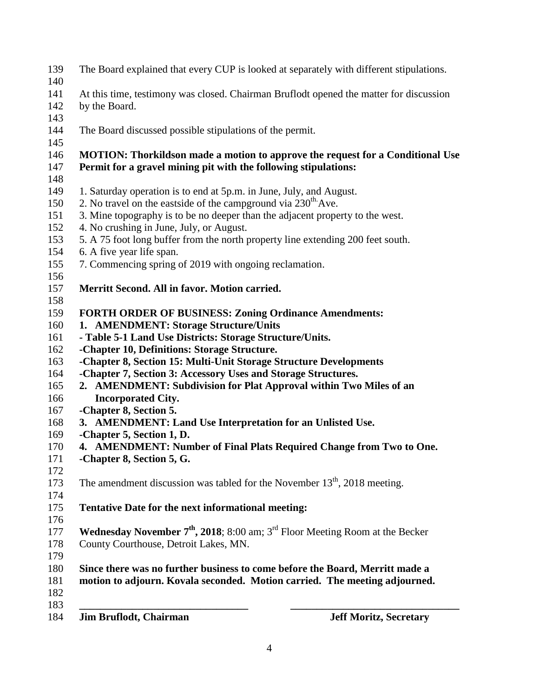| 139<br>140        | The Board explained that every CUP is looked at separately with different stipulations.                                                                    |
|-------------------|------------------------------------------------------------------------------------------------------------------------------------------------------------|
| 141               | At this time, testimony was closed. Chairman Bruflodt opened the matter for discussion                                                                     |
| 142               | by the Board.                                                                                                                                              |
| 143               |                                                                                                                                                            |
| 144               | The Board discussed possible stipulations of the permit.                                                                                                   |
| 145               |                                                                                                                                                            |
| 146               | <b>MOTION:</b> Thorkildson made a motion to approve the request for a Conditional Use                                                                      |
| 147               | Permit for a gravel mining pit with the following stipulations:                                                                                            |
| 148               |                                                                                                                                                            |
| 149               | 1. Saturday operation is to end at 5p.m. in June, July, and August.                                                                                        |
| 150               | 2. No travel on the eastside of the campground via $230^{\text{th}}$ . Ave.                                                                                |
| 151               | 3. Mine topography is to be no deeper than the adjacent property to the west.                                                                              |
| 152               | 4. No crushing in June, July, or August.                                                                                                                   |
| 153               | 5. A 75 foot long buffer from the north property line extending 200 feet south.                                                                            |
| 154               | 6. A five year life span.                                                                                                                                  |
| 155               | 7. Commencing spring of 2019 with ongoing reclamation.                                                                                                     |
| 156               |                                                                                                                                                            |
| 157               | Merritt Second. All in favor. Motion carried.                                                                                                              |
| 158               |                                                                                                                                                            |
| 159               | <b>FORTH ORDER OF BUSINESS: Zoning Ordinance Amendments:</b>                                                                                               |
| 160               | 1. AMENDMENT: Storage Structure/Units                                                                                                                      |
| 161               | - Table 5-1 Land Use Districts: Storage Structure/Units.                                                                                                   |
| 162               | -Chapter 10, Definitions: Storage Structure.                                                                                                               |
| 163               | -Chapter 8, Section 15: Multi-Unit Storage Structure Developments                                                                                          |
| 164               | -Chapter 7, Section 3: Accessory Uses and Storage Structures.                                                                                              |
| 165               | 2. AMENDMENT: Subdivision for Plat Approval within Two Miles of an                                                                                         |
| 166               | <b>Incorporated City.</b>                                                                                                                                  |
| 167               | -Chapter 8, Section 5.                                                                                                                                     |
| 168               | 3. AMENDMENT: Land Use Interpretation for an Unlisted Use.                                                                                                 |
| 169               | -Chapter 5, Section 1, D.                                                                                                                                  |
| 170               | 4. AMENDMENT: Number of Final Plats Required Change from Two to One.                                                                                       |
| 171               | -Chapter 8, Section 5, G.                                                                                                                                  |
| 172               |                                                                                                                                                            |
| 173               | The amendment discussion was tabled for the November $13th$ , 2018 meeting.                                                                                |
| 174               |                                                                                                                                                            |
| 175               | <b>Tentative Date for the next informational meeting:</b>                                                                                                  |
| 176               |                                                                                                                                                            |
| 177               | <b>Wednesday November 7<sup>th</sup>, 2018</b> ; 8:00 am; $3^{rd}$ Floor Meeting Room at the Becker                                                        |
| 178               | County Courthouse, Detroit Lakes, MN.                                                                                                                      |
| 179<br>180<br>181 | Since there was no further business to come before the Board, Merritt made a<br>motion to adjourn. Kovala seconded. Motion carried. The meeting adjourned. |
| 182<br>183        |                                                                                                                                                            |
| 184               | <b>Jim Bruflodt, Chairman</b><br><b>Jeff Moritz, Secretary</b>                                                                                             |